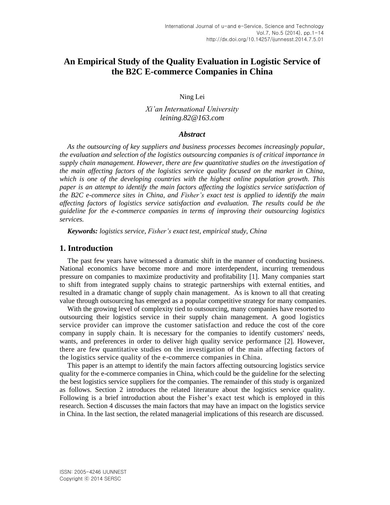# **An Empirical Study of the Quality Evaluation in Logistic Service of the B2C E-commerce Companies in China**

Ning Lei

*Xi'an International University leining.82@163.com*

#### *Abstract*

*As the outsourcing of key suppliers and business processes becomes increasingly popular, the evaluation and selection of the logistics outsourcing companies is of critical importance in supply chain management. However, there are few quantitative studies on the investigation of the main affecting factors of the logistics service quality focused on the market in China, which is one of the developing countries with the highest online population growth. This paper is an attempt to identify the main factors affecting the logistics service satisfaction of the B2C e-commerce sites in China, and Fisher's exact test is applied to identify the main affecting factors of logistics service satisfaction and evaluation. The results could be the guideline for the e-commerce companies in terms of improving their outsourcing logistics services.*

*Keywords: logistics service, Fisher's exact test, empirical study, China*

# **1. Introduction**

The past few years have witnessed a dramatic shift in the manner of conducting business. National economics have become more and more interdependent, incurring tremendous pressure on companies to maximize productivity and profitability [1]. Many companies start to shift from integrated supply chains to strategic partnerships with external entities, and resulted in a dramatic change of supply chain management. As is known to all that creating value through outsourcing has emerged as a popular competitive strategy for many companies.

With the growing level of complexity tied to outsourcing, many companies have resorted to outsourcing their logistics service in their supply chain management. A good logistics service provider can improve the customer satisfaction and reduce the cost of the core company in supply chain. It is necessary for the companies to identify customers' needs, wants, and preferences in order to deliver high quality service performance [2]. However, there are few quantitative studies on the investigation of the main affecting factors of the logistics service quality of the e-commerce companies in China.

This paper is an attempt to identify the main factors affecting outsourcing logistics service quality for the e-commerce companies in China, which could be the guideline for the selecting the best logistics service suppliers for the companies. The remainder of this study is organized as follows. Section 2 introduces the related literature about the logistics service quality. Following is a brief introduction about the Fisher's exact test which is employed in this research. Section 4 discusses the main factors that may have an impact on the logistics service in China. In the last section, the related managerial implications of this research are discussed.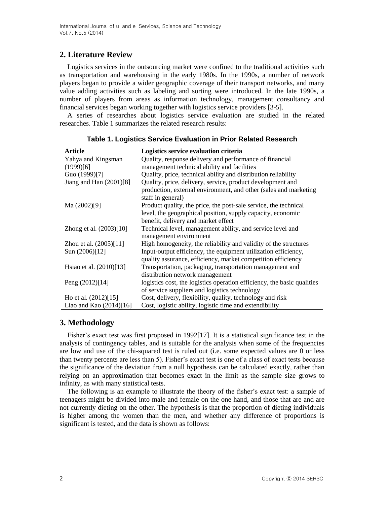# **2. Literature Review**

Logistics services in the outsourcing market were confined to the traditional activities such as transportation and warehousing in the early 1980s. In the 1990s, a number of network players began to provide a wider geographic coverage of their transport networks, and many value adding activities such as labeling and sorting were introduced. In the late 1990s, a number of players from areas as information technology, management consultancy and financial services began working together with logistics service providers [3-5].

A series of researches about logistics service evaluation are studied in the related researches. Table 1 summarizes the related research results:

| <b>Article</b>            | Logistics service evaluation criteria                                                 |
|---------------------------|---------------------------------------------------------------------------------------|
| Yahya and Kingsman        | Quality, response delivery and performance of financial                               |
| (1999)[6]                 | management technical ability and facilities                                           |
| Guo (1999)[7]             | Quality, price, technical ability and distribution reliability                        |
| Jiang and Han $(2001)[8]$ | Quality, price, delivery, service, product development and                            |
|                           | production, external environment, and other (sales and marketing<br>staff in general) |
| Ma (2002)[9]              | Product quality, the price, the post-sale service, the technical                      |
|                           | level, the geographical position, supply capacity, economic                           |
|                           | benefit, delivery and market effect                                                   |
| Zhong et al. (2003)[10]   | Technical level, management ability, and service level and                            |
|                           | management environment                                                                |
| Zhou et al. (2005)[11]    | High homogeneity, the reliability and validity of the structures                      |
| Sun (2006)[12]            | Input-output efficiency, the equipment utilization efficiency,                        |
|                           | quality assurance, efficiency, market competition efficiency                          |
| Hsiao et al. (2010)[13]   | Transportation, packaging, transportation management and                              |
|                           | distribution network management                                                       |
| Peng (2012)[14]           | logistics cost, the logistics operation efficiency, the basic qualities               |
|                           | of service suppliers and logistics technology                                         |
| Ho et al. $(2012)[15]$    | Cost, delivery, flexibility, quality, technology and risk                             |
| Liao and Kao $(2014)[16]$ | Cost, logistic ability, logistic time and extendibility                               |

**Table 1. Logistics Service Evaluation in Prior Related Research** 

# **3. Methodology**

Fisher's exact test was first proposed in 1992[17]. It is a statistical significance test in the analysis of contingency tables, and is suitable for the analysis when some of the frequencies are low and use of the chi-squared test is ruled out (i.e. some expected values are 0 or less than twenty percents are less than 5). Fisher's exact test is one of a class of exact tests because the significance of the deviation from a null hypothesis can be calculated exactly, rather than relying on an approximation that becomes exact in the limit as the sample size grows to infinity, as with many statistical tests.

The following is an example to illustrate the theory of the fisher's exact test: a sample of teenagers might be divided into male and female on the one hand, and those that are and are not currently dieting on the other. The hypothesis is that the proportion of dieting individuals is higher among the women than the men, and whether any difference of proportions is significant is tested, and the data is shown as follows: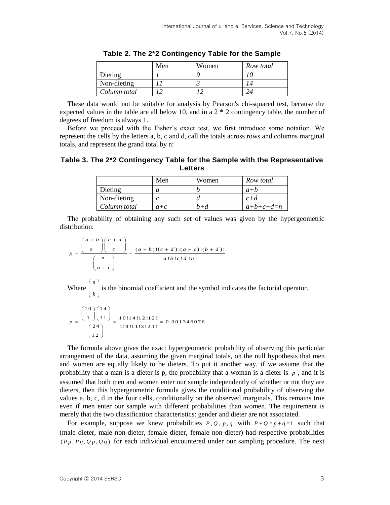|              | Men | Women | Row total |
|--------------|-----|-------|-----------|
| Dieting      |     |       |           |
| Non-dieting  |     |       |           |
| Column total |     |       |           |

**Table 2. The 2\*2 Contingency Table for the Sample**

These data would not be suitable for analysis by [Pearson's chi-squared test,](http://en.wikipedia.org/wiki/Pearson%27s_chi-squared_test) because the expected values in the table are all below 10, and in a 2 **\*** 2 contingency table, the number of degrees of freedom is always 1.

Before we proceed with the Fisher's exact test, we first introduce some notation. We represent the cells by the letters a, b, c and d, call the totals across rows and columns marginal totals, and represent the grand total by n:

**Table 3. The 2\*2 Contingency Table for the Sample with the Representative Letters**

|              | Men   | Women | Row total   |
|--------------|-------|-------|-------------|
| Dieting      |       |       | $a+b$       |
| Non-dieting  |       |       | $c+d$       |
| Column total | $a+c$ | $b+d$ | $a+b+c+d=n$ |

The probability of obtaining any such set of values was given by the hypergeometric distribution:

 $(a + b)! (c + d)!(a + c)!(b + d)!$  $\frac{d}{16}$  !  $\frac{d}{16}$  !  $\frac{d}{16}$  !  $\frac{d}{16}$  !  $\frac{d}{16}$  ! on:<br> $a + b \mid c + d$  $p = \frac{\begin{pmatrix} a+b \\ a \end{pmatrix} \begin{pmatrix} c+d \\ c \end{pmatrix}}{p} = \frac{(a+b)!(c+d)!(a+c)!(b+d)}{p}$  $\frac{1}{a}$   $\frac{1}{a}$   $\frac{1}{a}$   $\frac{(a+b)!(c+d)!(a+b)}{a!b!c!d!n}$  $\frac{n}{a+c}$ tion:<br> $\left(\begin{array}{cc} a+b \end{array}\right)\left(\begin{array}{cc} c+d \end{array}\right)$  $=\frac{\binom{a+b}{a}\binom{c+d}{c}}{\binom{n}{a}}=\frac{(a+b)!(c+d)!(a+c)!(b+d)!}{a!b!c!d!n!}$  $\frac{n}{\binom{n}{a+c}}$ 

Where  $\int_{0}^{n}$ *k*  $(n)$  $\vert \,$ ,  $\vert$  $(K)$ is the binomial coefficient and the symbol indicates the factorial operator.

$$
p = \frac{{\binom{10}{1}\binom{14}{1}}}{\binom{24}{12}} = \frac{10!14!12!12!}{1!9!11!3!24!} \approx 0.001346076
$$

The formula above gives the exact hypergeometric probability of observing this particular arrangement of the data, assuming the given marginal totals, on the [null hypothesis](http://en.wikipedia.org/wiki/Null_hypothesis) that men and women are equally likely to be dieters. To put it another way, if we assume that the probability that a man is a dieter is p, the probability that a woman is a dieter is  $p$ , and it is assumed that both men and women enter our sample independently of whether or not they are dieters, then this hypergeometric formula gives the conditional probability of observing the values a, b, c, d in the four cells, conditionally on the observed marginals. This remains true even if men enter our sample with different probabilities than women. The requirement is merely that the two classification characteristics: gender and dieter are not associated.

For example, suppose we knew probabilities  $P, Q, p, q$  with  $P + Q = p + q = 1$  such that (male dieter, male non-dieter, female dieter, female non-dieter) had respective probabilities  $(P_p, P_q, Q_p, Q_q)$  for each individual encountered under our sampling procedure. The next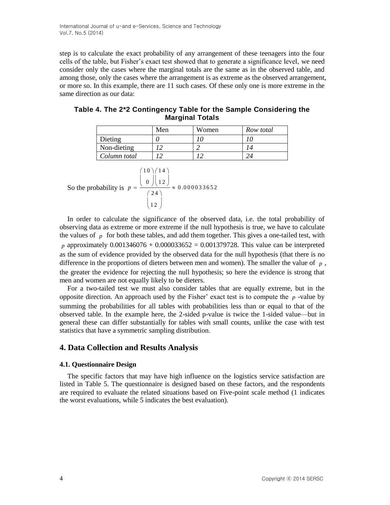step is to calculate the exact probability of any arrangement of these teenagers into the four cells of the table, but Fisher's exact test showed that to generate a significance level, we need consider only the cases where the marginal totals are the same as in the observed table, and among those, only the cases where the arrangement is as extreme as the observed arrangement, or more so. In this example, there are 11 such cases. Of these only one is more extreme in the same direction as our data:

| <b>Marginal Totals</b> |     |       |           |  |  |  |
|------------------------|-----|-------|-----------|--|--|--|
|                        | Men | Women | Row total |  |  |  |

**Table 4. The 2\*2 Contingency Table for the Sample Considering the** 

|              | Men | Women | Row total |
|--------------|-----|-------|-----------|
| Dieting      |     |       |           |
| Non-dieting  |     |       |           |
| Column total |     |       |           |

So the probability is 
$$
p = \frac{\begin{pmatrix} 10 \\ 0 \end{pmatrix} \begin{pmatrix} 14 \\ 12 \end{pmatrix}}{\begin{pmatrix} 24 \\ 12 \end{pmatrix}} \approx 0.000033652
$$

In order to calculate the significance of the observed data, i.e. the total probability of observing data as extreme or more extreme if the [null hypothesis](http://en.wikipedia.org/wiki/Null_hypothesis) is true, we have to calculate the values of  $\bar{p}$  for both these tables, and add them together. This gives a [one-tailed test,](http://en.wikipedia.org/wiki/One-tailed_test) with *p* approximately  $0.001346076 + 0.000033652 = 0.001379728$ . This value can be interpreted as the sum of evidence provided by the observed data for the [null hypothesis](http://en.wikipedia.org/wiki/Null_hypothesis) (that there is no difference in the proportions of dieters between men and women). The smaller the value of  $p$ , the greater the evidence for rejecting the null hypothesis; so here the evidence is strong that men and women are not equally likely to be dieters.

For a [two-tailed test](http://en.wikipedia.org/wiki/Two-tailed_test) we must also consider tables that are equally extreme, but in the opposite direction. An approach used by the Fisher' exact test is to compute the  $p$ -value by summing the probabilities for all tables with probabilities less than or equal to that of the observed table. In the example here, the 2-sided p-value is twice the 1-sided value—but in general these can differ substantially for tables with small counts, unlike the case with test statistics that have a symmetric sampling distribution.

# **4. Data Collection and Results Analysis**

### **4.1. Questionnaire Design**

The specific factors that may have high influence on the logistics service satisfaction are listed in Table 5. The questionnaire is designed based on these factors, and the respondents are required to evaluate the related situations based on Five-point scale method (1 indicates the worst evaluations, while 5 indicates the best evaluation).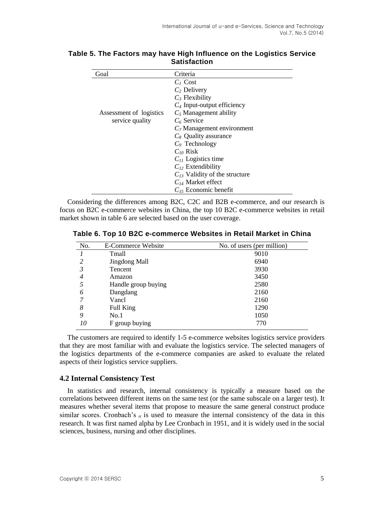| Goal                    | Criteria                           |  |  |  |
|-------------------------|------------------------------------|--|--|--|
|                         | $C_1$ Cost                         |  |  |  |
|                         | $C_2$ Delivery                     |  |  |  |
|                         | $C_3$ Flexibility                  |  |  |  |
|                         | $C_4$ Input-output efficiency      |  |  |  |
| Assessment of logistics | $C_5$ Management ability           |  |  |  |
| service quality         | $C_6$ Service                      |  |  |  |
|                         | $C_7$ Management environment       |  |  |  |
|                         | $C_8$ Quality assurance            |  |  |  |
|                         | $C_9$ Technology                   |  |  |  |
|                         | $C_{10}$ Risk                      |  |  |  |
|                         | $C_{11}$ Logistics time            |  |  |  |
|                         | $C_{12}$ Extendibility             |  |  |  |
|                         | $C_{13}$ Validity of the structure |  |  |  |
|                         | $C_{14}$ Market effect             |  |  |  |
|                         | $C_{15}$ Economic benefit          |  |  |  |

### **Table 5. The Factors may have High Influence on the Logistics Service Satisfaction**

Considering the differences among B2C, C2C and B2B e-commerce, and our research is focus on B2C e-commerce websites in China, the top 10 B2C e-commerce websites in retail market shown in table 6 are selected based on the user coverage.

| No. | E-Commerce Website   | No. of users (per million) |
|-----|----------------------|----------------------------|
|     | Tmall                | 9010                       |
| 2   | <b>Jingdong Mall</b> | 6940                       |
| 3   | Tencent              | 3930                       |
| 4   | Amazon               | 3450                       |
|     | Handle group buying  | 2580                       |
| 6   | Dangdang             | 2160                       |
| 7   | Vancl                | 2160                       |
| 8   | Full King            | 1290                       |
| 9   | No.1                 | 1050                       |

**Table 6. Top 10 B2C e-commerce Websites in Retail Market in China**

The customers are required to identify 1-5 e-commerce websites logistics service providers that they are most familiar with and evaluate the logistics service. The selected managers of the logistics departments of the e-commerce companies are asked to evaluate the related aspects of their logistics service suppliers.

770

# **4.2 Internal Consistency Test**

F group buying

*10*

In [statistics](http://en.wikipedia.org/wiki/Statistics) and [research,](http://en.wikipedia.org/wiki/Research) internal consistency is typically a measure based on the [correlations](http://en.wikipedia.org/wiki/Correlation) between different items on the same test (or the same subscale on a larger test). It measures whether several items that propose to measure the same general construct produce similar scores. Cronbach's  $\alpha$  is used to measure the internal consistency of the data in this research. It was first named alpha by Lee Cronbach in 1951, and it is widely used in the social sciences, business, nursing and other disciplines.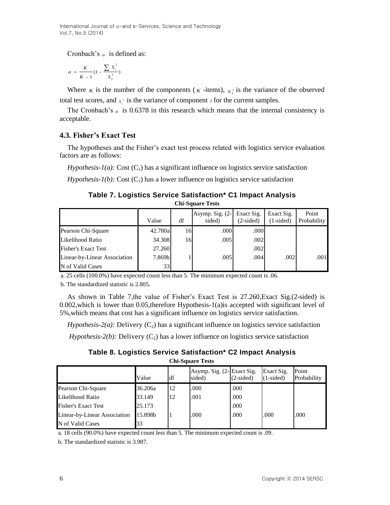International Journal of u-and e-Services, Science and Technology Vol.7, No.5 (2014)

Cronbach's  $\alpha$  is defined as:

$$
\alpha = \frac{K}{K - 1} (1 - \frac{\sum S_i^2}{S_T^2})
$$

Where *K* is the number of the components (*K*-items),  $s_r^2$  is the variance of the observed total test scores, and  $s_i^2$  is the variance of component *i* for the current samples.

The Cronbach's  $\alpha$  is 0.6378 in this research which means that the internal consistency is acceptable.

### **4.3. Fisher's Exact Test**

The hypotheses and the Fisher's exact test process related with logistics service evaluation factors are as follows:

*Hypothesis-1(a):* Cost  $(C_1)$  has a significant influence on logistics service satisfaction

*Hypothesis-1(b):* Cost  $(C_1)$  has a lower influence on logistics service satisfaction

**Table 7. Logistics Service Satisfaction\* C1 Impact Analysis Chi-Square Tests**

|                              | Value   | df | Asymp. Sig. (2-<br>sided) | Exact Sig.<br>$(2-sided)$ | Exact Sig.<br>$(1-sided)$ | Point<br><b>Probability</b> |
|------------------------------|---------|----|---------------------------|---------------------------|---------------------------|-----------------------------|
| Pearson Chi-Square           | 42.780a | 16 | .000                      | .000                      |                           |                             |
| Likelihood Ratio             | 34.308  | 16 | .005                      | .002                      |                           |                             |
| <b>Fisher's Exact Test</b>   | 27.260  |    |                           | .002                      |                           |                             |
| Linear-by-Linear Association | 7.869b  |    | .005                      | .004                      | .002                      | .001                        |
| N of Valid Cases             | 33      |    |                           |                           |                           |                             |

a. 25 cells (100.0%) have expected count less than 5. The minimum expected count is .06.

b. The standardized statistic is 2.805.

As shown in Table 7,the value of Fisher's Exact Test is 27.260,Exact Sig.(2-sided) is 0.002,which is lower than 0.05,therefore Hypothesis-1(a)is accepted with significant level of 5%,which means that cost has a significant influence on logistics service satisfaction.

*Hypothesis-2(a):* Delivery  $(C_2)$  has a significant influence on logistics service satisfaction

*Hypothesis-2(b):* Delivery  $(C_2)$  has a lower influence on logistics service satisfaction

**Table 8. Logistics Service Satisfaction\* C2 Impact Analysis Chi-Square Tests**

|                              | Value   | df | Asymp. Sig. (2-Exact Sig.<br>sided) | $(2-sided)$ | Exact Sig.<br>$(1-sided)$ | Point<br>Probability |
|------------------------------|---------|----|-------------------------------------|-------------|---------------------------|----------------------|
| Pearson Chi-Square           | 36.206a | 12 | .000                                | .000        |                           |                      |
| Likelihood Ratio             | 33.149  | 12 | .001                                | .000        |                           |                      |
| <b>Fisher's Exact Test</b>   | 25.173  |    |                                     | .000        |                           |                      |
| Linear-by-Linear Association | 15.898b |    | .000                                | .000        | .000                      | .000                 |
| N of Valid Cases             | 33      |    |                                     |             |                           |                      |

a. 18 cells (90.0%) have expected count less than 5. The minimum expected count is .09.

b. The standardized statistic is 3.987.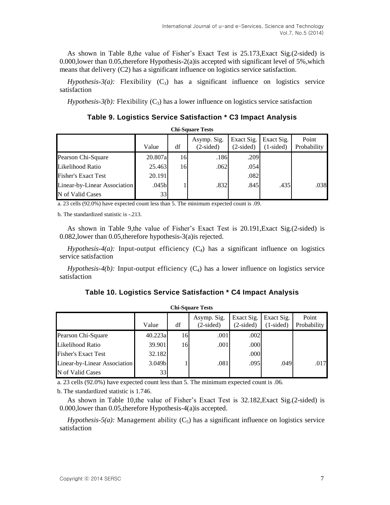As shown in Table 8,the value of Fisher's Exact Test is 25.173,Exact Sig.(2-sided) is 0.000, lower than 0.05, therefore Hypothesis-2(a) is accepted with significant level of 5%, which means that delivery (C2) has a significant influence on logistics service satisfaction.

*Hypothesis-3(a):* Flexibility  $(C_3)$  has a significant influence on logistics service satisfaction

*Hypothesis-3(b):* Flexibility  $(C_3)$  has a lower influence on logistics service satisfaction

**Table 9. Logistics Service Satisfaction \* C3 Impact Analysis**

| <b>Chi-Square Tests</b>      |         |    |                            |                           |                           |                      |
|------------------------------|---------|----|----------------------------|---------------------------|---------------------------|----------------------|
|                              | Value   | df | Asymp. Sig.<br>$(2-sided)$ | Exact Sig.<br>$(2-sided)$ | Exact Sig.<br>$(1-sided)$ | Point<br>Probability |
| Pearson Chi-Square           | 20.807a | 16 | .186                       | .209                      |                           |                      |
| Likelihood Ratio             | 25.463  | 16 | .062                       | .054                      |                           |                      |
| <b>Fisher's Exact Test</b>   | 20.191  |    |                            | .082                      |                           |                      |
| Linear-by-Linear Association | .045b   |    | .832                       | .845                      | .435                      | .038                 |
| N of Valid Cases             | 33      |    |                            |                           |                           |                      |

a. 23 cells (92.0%) have expected count less than 5. The minimum expected count is .09.

b. The standardized statistic is -.213.

As shown in Table 9,the value of Fisher's Exact Test is 20.191,Exact Sig.(2-sided) is 0.082,lower than 0.05,therefore hypothesis-3(a)is rejected.

*Hypothesis-4(a):* Input-output efficiency  $(C_4)$  has a significant influence on logistics service satisfaction

*Hypothesis-4(b):* Input-output efficiency  $(C_4)$  has a lower influence on logistics service satisfaction

| Table 10. Logistics Service Satisfaction * C4 Impact Analysis |  |  |
|---------------------------------------------------------------|--|--|
|---------------------------------------------------------------|--|--|

| <b>Chi-Square Tests</b>      |                    |    |                            |                           |                           |                      |  |
|------------------------------|--------------------|----|----------------------------|---------------------------|---------------------------|----------------------|--|
|                              | Value              | df | Asymp. Sig.<br>$(2-sided)$ | Exact Sig.<br>$(2-sided)$ | Exact Sig.<br>$(1-sided)$ | Point<br>Probability |  |
| Pearson Chi-Square           | 40.223a            | 16 | .001                       | .002                      |                           |                      |  |
| Likelihood Ratio             | 39.901             | 16 | .001                       | .000                      |                           |                      |  |
| <b>Fisher's Exact Test</b>   | 32.182             |    |                            | .000                      |                           |                      |  |
| Linear-by-Linear Association | 3.049 <sub>b</sub> |    | .081                       | .095                      | .049                      | .017                 |  |
| N of Valid Cases             | 33                 |    |                            |                           |                           |                      |  |

a. 23 cells (92.0%) have expected count less than 5. The minimum expected count is .06.

b. The standardized statistic is 1.746.

As shown in Table 10,the value of Fisher's Exact Test is 32.182,Exact Sig.(2-sided) is 0.000,lower than 0.05,therefore Hypothesis-4(a)is accepted.

*Hypothesis-5(a):* Management ability  $(C_5)$  has a significant influence on logistics service satisfaction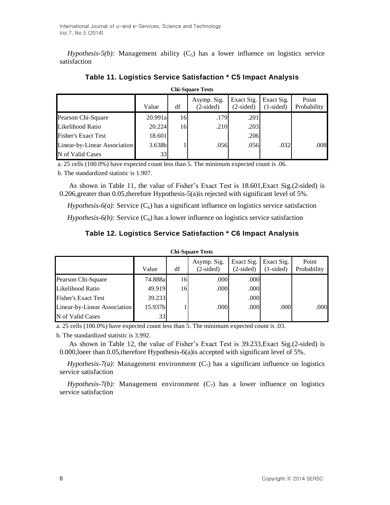*Hypothesis-5(b):* Management ability  $(C_5)$  has a lower influence on logistics service satisfaction

| <b>Chi-Square Tests</b>      |         |    |                            |                           |                           |                      |  |  |
|------------------------------|---------|----|----------------------------|---------------------------|---------------------------|----------------------|--|--|
|                              | Value   | df | Asymp. Sig.<br>$(2-sided)$ | Exact Sig.<br>$(2-sided)$ | Exact Sig.<br>$(1-sided)$ | Point<br>Probability |  |  |
| Pearson Chi-Square           | 20.991a | 16 | .179                       | .2011                     |                           |                      |  |  |
| Likelihood Ratio             | 20.224  | 16 | .210                       | .203                      |                           |                      |  |  |
| <b>Fisher's Exact Test</b>   | 18.601  |    |                            | .206                      |                           |                      |  |  |
| Linear-by-Linear Association | 3.638b  |    | .056                       | .056                      | .032                      | .008                 |  |  |
| N of Valid Cases             | 33      |    |                            |                           |                           |                      |  |  |

# **Table 11. Logistics Service Satisfaction \* C5 Impact Analysis**

a. 25 cells (100.0%) have expected count less than 5. The minimum expected count is .06.

b. The standardized statistic is 1.907.

As shown in Table 11, the value of Fisher's Exact Test is 18.601,Exact Sig.(2-sided) is 0.206,greater than 0.05,therefore Hypothesis-5(a)is rejected with significant level of 5%.

*Hypothesis-6(a):* Service  $(C_6)$  has a significant influence on logistics service satisfaction

*Hypothesis-6(b):* Service  $(C_6)$  has a lower influence on logistics service satisfaction

# **Table 12. Logistics Service Satisfaction \* C6 Impact Analysis**

| <b>Chi-Square Tests</b>      |         |    |                            |                           |                           |                      |  |  |
|------------------------------|---------|----|----------------------------|---------------------------|---------------------------|----------------------|--|--|
|                              | Value   | df | Asymp. Sig.<br>$(2-sided)$ | Exact Sig.<br>$(2-sided)$ | Exact Sig.<br>$(1-sided)$ | Point<br>Probability |  |  |
| Pearson Chi-Square           | 74.888a | 16 | .000                       | .000                      |                           |                      |  |  |
| Likelihood Ratio             | 49.919  | 16 | .000                       | .000                      |                           |                      |  |  |
| <b>Fisher's Exact Test</b>   | 39.233  |    |                            | .000                      |                           |                      |  |  |
| Linear-by-Linear Association | 15.937b |    | .000                       | .000                      | .000                      | .000                 |  |  |
| N of Valid Cases             | 33      |    |                            |                           |                           |                      |  |  |

a. 25 cells (100.0%) have expected count less than 5. The minimum expected count is .03.

b. The standardized statistic is 3.992.

As shown in Table 12, the value of Fisher's Exact Test is 39.233,Exact Sig.(2-sided) is 0.000,loeer than 0.05,therefore Hypothesis-6(a)is accepted with significant level of 5%.

*Hypothesis-7(a):* Management environment  $(C_7)$  has a significant influence on logistics service satisfaction

*Hypothesis-7(b):* Management environment  $(C_7)$  has a lower influence on logistics service satisfaction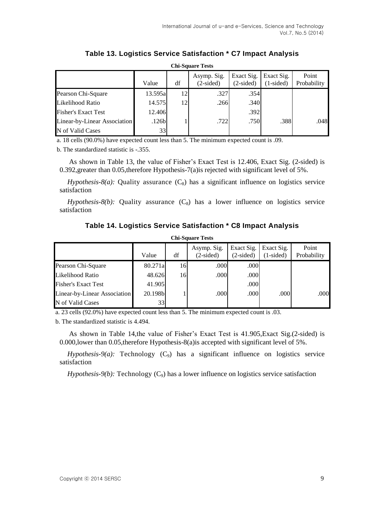| <b>Chi-Square Tests</b>      |         |    |                            |                           |                           |                      |  |  |
|------------------------------|---------|----|----------------------------|---------------------------|---------------------------|----------------------|--|--|
|                              | Value   | df | Asymp. Sig.<br>$(2-sided)$ | Exact Sig.<br>$(2-sided)$ | Exact Sig.<br>$(1-sided)$ | Point<br>Probability |  |  |
| Pearson Chi-Square           | 13.595a | 12 | .327                       | .354                      |                           |                      |  |  |
| Likelihood Ratio             | 14.575  | 12 | .266                       | .340                      |                           |                      |  |  |
| <b>Fisher's Exact Test</b>   | 12.406  |    |                            | .392                      |                           |                      |  |  |
| Linear-by-Linear Association | .126b   |    | .722                       | .750                      | .388                      | .048                 |  |  |
| N of Valid Cases             | 33      |    |                            |                           |                           |                      |  |  |

**Table 13. Logistics Service Satisfaction \* C7 Impact Analysis**

a. 18 cells (90.0%) have expected count less than 5. The minimum expected count is .09.

b. The standardized statistic is -.355.

As shown in Table 13, the value of Fisher's Exact Test is 12.406, Exact Sig. (2-sided) is 0.392,greater than 0.05,therefore Hypothesis-7(a)is rejected with significant level of 5%.

*Hypothesis-8(a):* Quality assurance  $(C_8)$  has a significant influence on logistics service satisfaction

*Hypothesis-8(b):* Quality assurance  $(C_8)$  has a lower influence on logistics service satisfaction

### **Table 14. Logistics Service Satisfaction \* C8 Impact Analysis Chi-Square Tests**

| Cili-Duual Club              |         |    |                            |                           |                           |                      |  |  |
|------------------------------|---------|----|----------------------------|---------------------------|---------------------------|----------------------|--|--|
|                              | Value   | df | Asymp. Sig.<br>$(2-sided)$ | Exact Sig.<br>$(2-sided)$ | Exact Sig.<br>$(1-sided)$ | Point<br>Probability |  |  |
| Pearson Chi-Square           | 80.271a | 16 | .000                       | .000                      |                           |                      |  |  |
| Likelihood Ratio             | 48.626  | 16 | .000                       | .000                      |                           |                      |  |  |
| <b>Fisher's Exact Test</b>   | 41.905  |    |                            | .000                      |                           |                      |  |  |
| Linear-by-Linear Association | 20.198b |    | .000                       | .000                      | .000                      | .000                 |  |  |
| N of Valid Cases             | 33      |    |                            |                           |                           |                      |  |  |

a. 23 cells (92.0%) have expected count less than 5. The minimum expected count is .03.

b. The standardized statistic is 4.494.

As shown in Table 14,the value of Fisher's Exact Test is 41.905,Exact Sig.(2-sided) is 0.000,lower than 0.05,therefore Hypothesis-8(a)is accepted with significant level of 5%.

 $Hypothesis-9(a)$ : Technology  $(C_9)$  has a significant influence on logistics service satisfaction

 $Hypothesis-9(b)$ : Technology  $(C_9)$  has a lower influence on logistics service satisfaction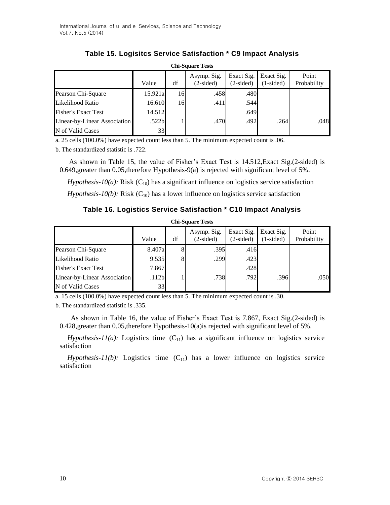| <b>Chi-Square Tests</b>      |                   |    |                            |                           |                           |                      |  |  |
|------------------------------|-------------------|----|----------------------------|---------------------------|---------------------------|----------------------|--|--|
|                              | Value             | df | Asymp. Sig.<br>$(2-sided)$ | Exact Sig.<br>$(2-sided)$ | Exact Sig.<br>$(1-sided)$ | Point<br>Probability |  |  |
| Pearson Chi-Square           | 15.921al          | 16 | .458                       | .480                      |                           |                      |  |  |
| Likelihood Ratio             | 16.610            | 16 | .411                       | .544                      |                           |                      |  |  |
| <b>Fisher's Exact Test</b>   | 14.512            |    |                            | .649                      |                           |                      |  |  |
| Linear-by-Linear Association | .522 <sub>b</sub> |    | .470                       | .492                      | .264                      | .048                 |  |  |
| N of Valid Cases             | 33                |    |                            |                           |                           |                      |  |  |

# **Table 15. Logisitcs Service Satisfaction \* C9 Impact Analysis**

a. 25 cells (100.0%) have expected count less than 5. The minimum expected count is .06.

b. The standardized statistic is .722.

As shown in Table 15, the value of Fisher's Exact Test is 14.512,Exact Sig.(2-sided) is 0.649,greater than 0.05,therefore Hypothesis-9(a) is rejected with significant level of 5%.

*Hypothesis-10(a):* Risk  $(C_{10})$  has a significant influence on logistics service satisfaction

*Hypothesis-10(b):* Risk  $(C_{10})$  has a lower influence on logistics service satisfaction

### **Table 16. Logistics Service Satisfaction \* C10 Impact Analysis**

| <b>Chi-Square Tests</b>      |                   |    |                            |                           |                           |                      |  |
|------------------------------|-------------------|----|----------------------------|---------------------------|---------------------------|----------------------|--|
|                              | Value             | df | Asymp. Sig.<br>$(2-sided)$ | Exact Sig.<br>$(2-sided)$ | Exact Sig.<br>$(1-sided)$ | Point<br>Probability |  |
| Pearson Chi-Square           | 8.407al           | 8  | .395                       | .416                      |                           |                      |  |
| Likelihood Ratio             | 9.535             | 8  | .299                       | .423                      |                           |                      |  |
| <b>Fisher's Exact Test</b>   | 7.867             |    |                            | .428                      |                           |                      |  |
| Linear-by-Linear Association | .112 <sub>b</sub> |    | .738                       | .792                      | .396                      | .050                 |  |
| N of Valid Cases             | 33                |    |                            |                           |                           |                      |  |

a. 15 cells (100.0%) have expected count less than 5. The minimum expected count is .30.

b. The standardized statistic is .335.

As shown in Table 16, the value of Fisher's Exact Test is 7.867, Exact Sig.(2-sided) is 0.428,greater than 0.05,therefore Hypothesis-10(a)is rejected with significant level of 5%.

*Hypothesis-11(a):* Logistics time  $(C_{11})$  has a significant influence on logistics service satisfaction

*Hypothesis-11(b):* Logistics time  $(C_{11})$  has a lower influence on logistics service satisfaction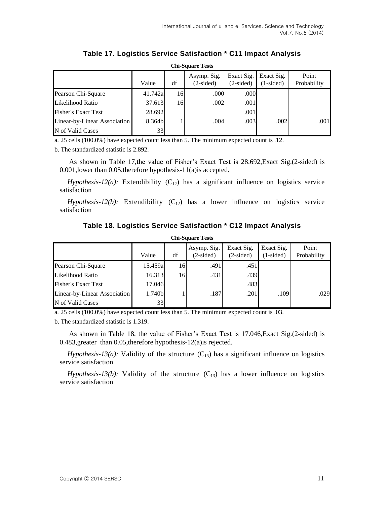| <b>Chi-Square Tests</b>      |         |    |                            |                               |                           |                      |  |
|------------------------------|---------|----|----------------------------|-------------------------------|---------------------------|----------------------|--|
|                              | Value   | df | Asymp. Sig.<br>$(2-sided)$ | Exact Sig.<br>$(2\t{-sided})$ | Exact Sig.<br>$(1-sided)$ | Point<br>Probability |  |
| Pearson Chi-Square           | 41.742a | 16 | .000                       | .000                          |                           |                      |  |
| Likelihood Ratio             | 37.613  | 16 | .002                       | .001                          |                           |                      |  |
| <b>Fisher's Exact Test</b>   | 28.692  |    |                            | .001                          |                           |                      |  |
| Linear-by-Linear Association | 8.364b  |    | .004                       | .003                          | .002                      | .001                 |  |
| N of Valid Cases             | 33      |    |                            |                               |                           |                      |  |

**Table 17. Logistics Service Satisfaction \* C11 Impact Analysis**

a. 25 cells (100.0%) have expected count less than 5. The minimum expected count is .12.

b. The standardized statistic is 2.892.

As shown in Table 17,the value of Fisher's Exact Test is 28.692,Exact Sig.(2-sided) is 0.001,lower than 0.05,therefore hypothesis-11(a)is accepted.

*Hypothesis-12(a):* Extendibility  $(C_{12})$  has a significant influence on logistics service satisfaction

 $Hypothesis-12(b)$ : Extendibility  $(C_{12})$  has a lower influence on logistics service satisfaction

#### **Table 18. Logistics Service Satisfaction \* C12 Impact Analysis**

| <b>Chi-Square Tests</b>      |          |    |                            |                           |                           |                      |  |
|------------------------------|----------|----|----------------------------|---------------------------|---------------------------|----------------------|--|
|                              | Value    | df | Asymp. Sig.<br>$(2-sided)$ | Exact Sig.<br>$(2-sided)$ | Exact Sig.<br>$(1-sided)$ | Point<br>Probability |  |
| Pearson Chi-Square           | 15.459al | 16 | .491                       | .451                      |                           |                      |  |
| Likelihood Ratio             | 16.313   | 16 | .431                       | .439                      |                           |                      |  |
| <b>Fisher's Exact Test</b>   | 17.046   |    |                            | .483                      |                           |                      |  |
| Linear-by-Linear Association | 1.740b   |    | .187                       | .201                      | .109                      | .029                 |  |
| N of Valid Cases             | 33       |    |                            |                           |                           |                      |  |

a. 25 cells (100.0%) have expected count less than 5. The minimum expected count is .03.

b. The standardized statistic is 1.319.

As shown in Table 18, the value of Fisher's Exact Test is 17.046,Exact Sig.(2-sided) is 0.483,greater than 0.05,therefore hypothesis-12(a)is rejected.

*Hypothesis-13(a):* Validity of the structure  $(C_{13})$  has a significant influence on logistics service satisfaction

*Hypothesis-13(b):* Validity of the structure  $(C_{13})$  has a lower influence on logistics service satisfaction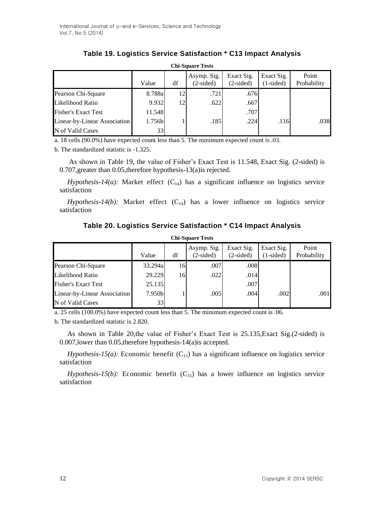| Table 19. Logistics Service Satisfaction * C13 Impact Analysis |  |  |  |
|----------------------------------------------------------------|--|--|--|
|----------------------------------------------------------------|--|--|--|

| <b>Chi-Square Tests</b>      |        |    |                            |                           |                           |                      |  |
|------------------------------|--------|----|----------------------------|---------------------------|---------------------------|----------------------|--|
|                              | Value  | df | Asymp. Sig.<br>$(2-sided)$ | Exact Sig.<br>$(2-sided)$ | Exact Sig.<br>$(1-sided)$ | Point<br>Probability |  |
| Pearson Chi-Square           | 8.788a | 12 | .721                       | .676                      |                           |                      |  |
| Likelihood Ratio             | 9.932  | 12 | .622                       | .667                      |                           |                      |  |
| <b>Fisher's Exact Test</b>   | 11.548 |    |                            | .707                      |                           |                      |  |
| Linear-by-Linear Association | 1.756b |    | .185                       | .224                      | .116                      | .038                 |  |
| N of Valid Cases             | 33     |    |                            |                           |                           |                      |  |

a. 18 cells (90.0%) have expected count less than 5. The minimum expected count is .03.

b. The standardized statistic is -1.325.

As shown in Table 19, the value of Fisher's Exact Test is 11.548, Exact Sig. (2-sided) is 0.707,greater than 0.05,therefore hypothesis-13(a)is rejected.

*Hypothesis-14(a):* Market effect  $(C_{14})$  has a significant influence on logistics service satisfaction

*Hypothesis-14(b):* Market effect  $(C_{14})$  has a lower influence on logistics service satisfaction

# **Table 20. Logistics Service Satisfaction \* C14 Impact Analysis**

| <b>Chi-Square Tests</b>      |         |    |                            |                           |                           |                      |  |  |
|------------------------------|---------|----|----------------------------|---------------------------|---------------------------|----------------------|--|--|
|                              | Value   | df | Asymp. Sig.<br>$(2-sided)$ | Exact Sig.<br>$(2-sided)$ | Exact Sig.<br>$(1-sided)$ | Point<br>Probability |  |  |
| Pearson Chi-Square           | 33.294a | 16 | .007                       | .008                      |                           |                      |  |  |
| Likelihood Ratio             | 29.229  | 16 | .022                       | .014                      |                           |                      |  |  |
| <b>Fisher's Exact Test</b>   | 25.135  |    |                            | .007                      |                           |                      |  |  |
| Linear-by-Linear Association | 7.950bl |    | .005                       | .004                      | .002                      | .001                 |  |  |
| N of Valid Cases             | 33      |    |                            |                           |                           |                      |  |  |

a. 25 cells (100.0%) have expected count less than 5. The minimum expected count is .06.

b. The standardized statistic is 2.820.

As shown in Table 20,the value of Fisher's Exact Test is 25.135,Exact Sig.(2-sided) is 0.007,lower than 0.05,therefore hypothesis-14(a)is accepted.

 $Hypothesis-15(a)$ : Economic benefit (C<sub>15</sub>) has a significant influence on logistics service satisfaction

*Hypothesis-15(b):* Economic benefit  $(C_{15})$  has a lower influence on logistics service satisfaction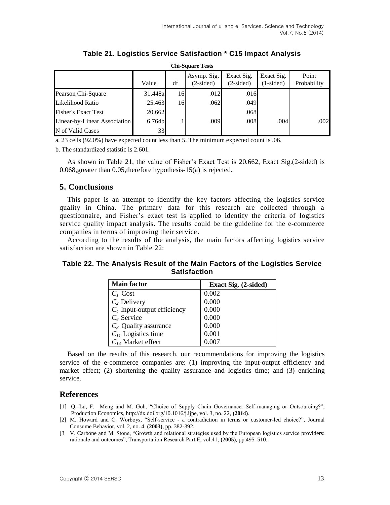| <b>Chi-Square Tests</b>      |         |    |                            |                           |                           |                      |  |
|------------------------------|---------|----|----------------------------|---------------------------|---------------------------|----------------------|--|
|                              | Value   | df | Asymp. Sig.<br>$(2-sided)$ | Exact Sig.<br>$(2-sided)$ | Exact Sig.<br>$(1-sided)$ | Point<br>Probability |  |
| Pearson Chi-Square           | 31.448a | 16 | .012                       | .016                      |                           |                      |  |
| Likelihood Ratio             | 25.463  | 16 | .062                       | .049                      |                           |                      |  |
| <b>Fisher's Exact Test</b>   | 20.662  |    |                            | .068                      |                           |                      |  |
| Linear-by-Linear Association | 6.764b  |    | .009                       | .008                      | .004                      | .002                 |  |
| N of Valid Cases             | 33      |    |                            |                           |                           |                      |  |

**Table 21. Logistics Service Satisfaction \* C15 Impact Analysis**

a. 23 cells (92.0%) have expected count less than 5. The minimum expected count is .06.

b. The standardized statistic is 2.601.

As shown in Table 21, the value of Fisher's Exact Test is 20.662, Exact Sig.(2-sided) is 0.068,greater than 0.05,therefore hypothesis-15(a) is rejected.

#### **5. Conclusions**

This paper is an attempt to identify the key factors affecting the logistics service quality in China. The primary data for this research are collected through a questionnaire, and Fisher's exact test is applied to identify the criteria of logistics service quality impact analysis. The results could be the guideline for the e-commerce companies in terms of improving their service.

According to the results of the analysis, the main factors affecting logistics service satisfaction are shown in Table 22:

### **Table 22. The Analysis Result of the Main Factors of the Logistics Service Satisfaction**

| <b>Main factor</b>            | Exact Sig. (2-sided) |
|-------------------------------|----------------------|
| $C1$ Cost                     | 0.002                |
| $C_2$ Delivery                | 0.000                |
| $C_4$ Input-output efficiency | 0.000                |
| $C_6$ Service                 | 0.000                |
| $C_8$ Quality assurance       | 0.000                |
| $C_{11}$ Logistics time       | 0.001                |
| $C_{14}$ Market effect        |                      |

Based on the results of this research, our recommendations for improving the logistics service of the e-commerce companies are: (1) improving the input-output efficiency and market effect; (2) shortening the quality assurance and logistics time; and (3) enriching service.

### **References**

- [1] Q. Lu, F. Meng and M. Goh, "Choice of Supply Chain Governance: Self-managing or Outsourcing?", Production Economics, http://dx.doi.org/10.1016/j.ijpe, vol. 3, no. 22, **(2014)**.
- [2] M. Howard and C. Worboys, "Self-service a contradiction in terms or customer-led choice?", Journal Consume Behavior, vol. 2, no. 4, **(2003)**, pp. 382-392.
- [3 V. Carbone and M. Stone, "Growth and relational strategies used by the European logistics service providers: rationale and outcomes", Transportation Research Part E, vol.41, **(2005)**, pp.495–510.